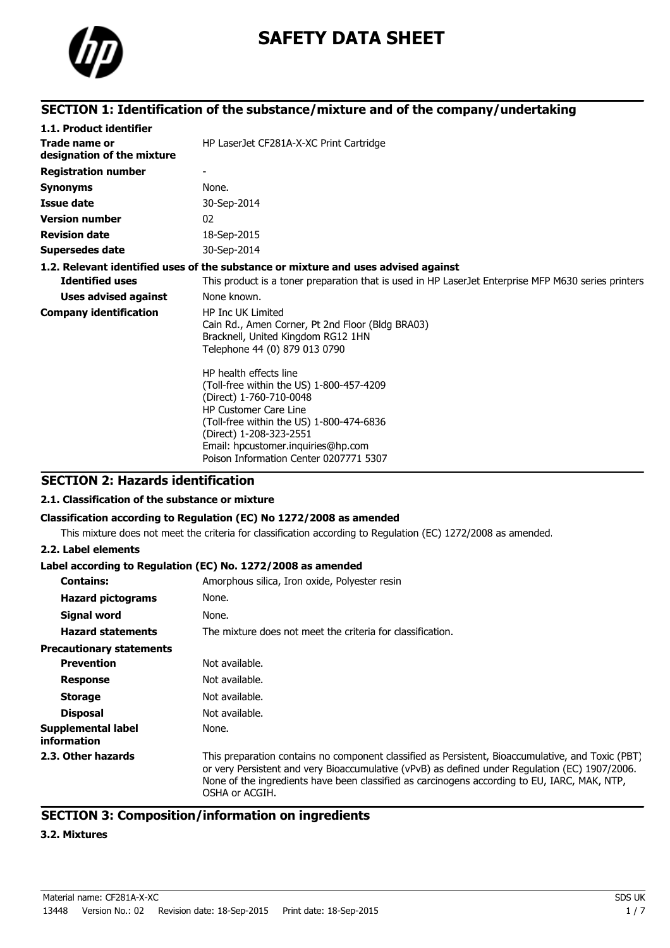

# **SAFETY DATA SHEET**

# **SECTION 1: Identification of the substance/mixture and of the company/undertaking**

| 1.1. Product identifier                     |                                                                                                                                                                                                                                                                                      |  |  |
|---------------------------------------------|--------------------------------------------------------------------------------------------------------------------------------------------------------------------------------------------------------------------------------------------------------------------------------------|--|--|
| Trade name or<br>designation of the mixture | HP LaserJet CF281A-X-XC Print Cartridge                                                                                                                                                                                                                                              |  |  |
| <b>Registration number</b>                  |                                                                                                                                                                                                                                                                                      |  |  |
| <b>Synonyms</b>                             | None.                                                                                                                                                                                                                                                                                |  |  |
| <b>Issue date</b>                           | 30-Sep-2014                                                                                                                                                                                                                                                                          |  |  |
| <b>Version number</b>                       | 02                                                                                                                                                                                                                                                                                   |  |  |
| <b>Revision date</b>                        | 18-Sep-2015                                                                                                                                                                                                                                                                          |  |  |
| <b>Supersedes date</b>                      | 30-Sep-2014                                                                                                                                                                                                                                                                          |  |  |
|                                             | 1.2. Relevant identified uses of the substance or mixture and uses advised against                                                                                                                                                                                                   |  |  |
| <b>Identified uses</b>                      | This product is a toner preparation that is used in HP LaserJet Enterprise MFP M630 series printers                                                                                                                                                                                  |  |  |
| Uses advised against                        | None known.                                                                                                                                                                                                                                                                          |  |  |
| <b>Company identification</b>               | <b>HP Inc UK Limited</b><br>Cain Rd., Amen Corner, Pt 2nd Floor (Bldg BRA03)<br>Bracknell, United Kingdom RG12 1HN<br>Telephone 44 (0) 879 013 0790                                                                                                                                  |  |  |
|                                             | HP health effects line<br>(Toll-free within the US) 1-800-457-4209<br>(Direct) 1-760-710-0048<br><b>HP Customer Care Line</b><br>(Toll-free within the US) 1-800-474-6836<br>(Direct) 1-208-323-2551<br>Email: hpcustomer.inquiries@hp.com<br>Poison Information Center 0207771 5307 |  |  |

# **SECTION 2: Hazards identification**

### **2.1. Classification of the substance or mixture**

#### **Classification according to Regulation (EC) No 1272/2008 as amended**

This mixture does not meet the criteria for classification according to Regulation (EC) 1272/2008 as amended.

### **2.2. Label elements**

### **Label according to Regulation (EC) No. 1272/2008 as amended**

| <b>Contains:</b>                         | Amorphous silica, Iron oxide, Polyester resin                                                                                                                                                                                                                                                                         |  |
|------------------------------------------|-----------------------------------------------------------------------------------------------------------------------------------------------------------------------------------------------------------------------------------------------------------------------------------------------------------------------|--|
| <b>Hazard pictograms</b>                 | None.                                                                                                                                                                                                                                                                                                                 |  |
| Signal word                              | None.                                                                                                                                                                                                                                                                                                                 |  |
| <b>Hazard statements</b>                 | The mixture does not meet the criteria for classification.                                                                                                                                                                                                                                                            |  |
| <b>Precautionary statements</b>          |                                                                                                                                                                                                                                                                                                                       |  |
| <b>Prevention</b>                        | Not available.                                                                                                                                                                                                                                                                                                        |  |
| <b>Response</b>                          | Not available.                                                                                                                                                                                                                                                                                                        |  |
| <b>Storage</b>                           | Not available.                                                                                                                                                                                                                                                                                                        |  |
| <b>Disposal</b>                          | Not available.                                                                                                                                                                                                                                                                                                        |  |
| <b>Supplemental label</b><br>information | None.                                                                                                                                                                                                                                                                                                                 |  |
| 2.3. Other hazards                       | This preparation contains no component classified as Persistent, Bioaccumulative, and Toxic (PBT)<br>or very Persistent and very Bioaccumulative (vPvB) as defined under Regulation (EC) 1907/2006.<br>None of the ingredients have been classified as carcinogens according to EU, IARC, MAK, NTP,<br>OSHA or ACGIH. |  |

# **SECTION 3: Composition/information on ingredients**

### **3.2. Mixtures**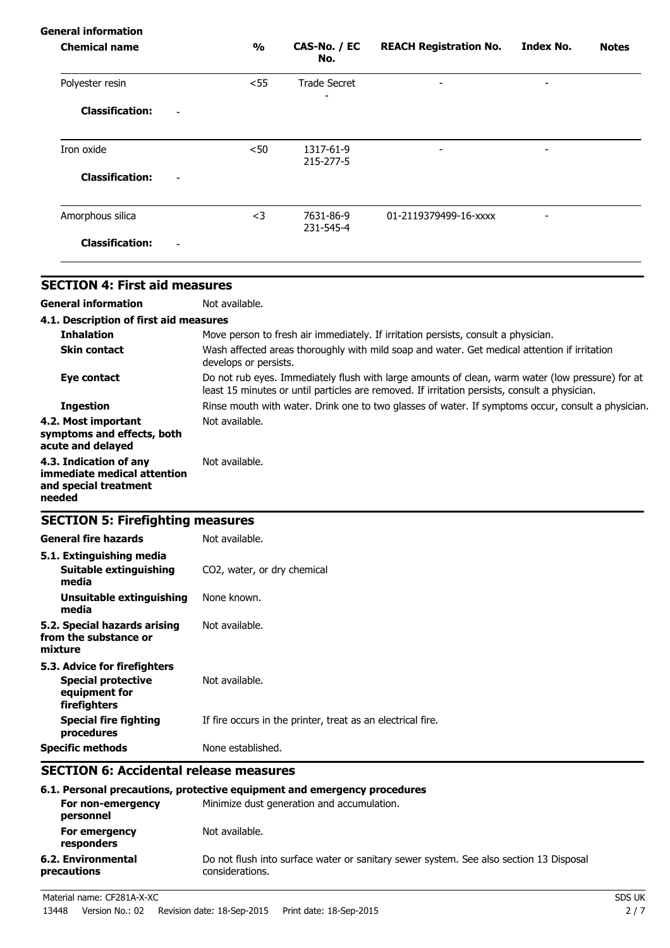| General information |                        |                               |                          |              |
|---------------------|------------------------|-------------------------------|--------------------------|--------------|
| $\frac{1}{2}$       | CAS-No. / EC<br>No.    | <b>REACH Registration No.</b> | <b>Index No.</b>         | <b>Notes</b> |
| $<$ 55              | <b>Trade Secret</b>    | ۰                             | $\overline{\phantom{0}}$ |              |
|                     |                        |                               |                          |              |
| $50$                | 1317-61-9<br>215-277-5 | -                             | $\overline{\phantom{0}}$ |              |
|                     |                        |                               |                          |              |
| $<$ 3               | 7631-86-9              | 01-2119379499-16-xxxx         | $\overline{\phantom{a}}$ |              |
|                     |                        |                               |                          |              |
|                     |                        | 231-545-4                     |                          |              |

| <b>SECTION 4: First aid measures</b>                                                     |                                                                                                                                                                                                   |
|------------------------------------------------------------------------------------------|---------------------------------------------------------------------------------------------------------------------------------------------------------------------------------------------------|
| <b>General information</b>                                                               | Not available.                                                                                                                                                                                    |
| 4.1. Description of first aid measures                                                   |                                                                                                                                                                                                   |
| <b>Inhalation</b>                                                                        | Move person to fresh air immediately. If irritation persists, consult a physician.                                                                                                                |
| <b>Skin contact</b>                                                                      | Wash affected areas thoroughly with mild soap and water. Get medical attention if irritation<br>develops or persists.                                                                             |
| Eye contact                                                                              | Do not rub eyes. Immediately flush with large amounts of clean, warm water (low pressure) for at<br>least 15 minutes or until particles are removed. If irritation persists, consult a physician. |
| <b>Ingestion</b>                                                                         | Rinse mouth with water. Drink one to two glasses of water. If symptoms occur, consult a physician.                                                                                                |
| 4.2. Most important<br>symptoms and effects, both<br>acute and delayed                   | Not available.                                                                                                                                                                                    |
| 4.3. Indication of any<br>immediate medical attention<br>and special treatment<br>needed | Not available.                                                                                                                                                                                    |
| <b>SECTION 5: Firefighting measures</b>                                                  |                                                                                                                                                                                                   |

| <b>General fire hazards</b><br>5.1. Extinguishing media                                    | Not available.                                              |
|--------------------------------------------------------------------------------------------|-------------------------------------------------------------|
| Suitable extinguishing<br>media                                                            | CO2, water, or dry chemical                                 |
| Unsuitable extinguishing<br>media                                                          | None known.                                                 |
| 5.2. Special hazards arising<br>from the substance or<br>mixture                           | Not available.                                              |
| 5.3. Advice for firefighters<br><b>Special protective</b><br>equipment for<br>firefighters | Not available.                                              |
| Special fire fighting<br>procedures                                                        | If fire occurs in the printer, treat as an electrical fire. |
| <b>Specific methods</b>                                                                    | None established.                                           |

# **SECTION 6: Accidental release measures**

| 6.1. Personal precautions, protective equipment and emergency procedures     |                                                                                                           |  |  |
|------------------------------------------------------------------------------|-----------------------------------------------------------------------------------------------------------|--|--|
| Minimize dust generation and accumulation.<br>For non-emergency<br>personnel |                                                                                                           |  |  |
| For emergency<br>responders                                                  | Not available.                                                                                            |  |  |
| 6.2. Environmental<br>precautions                                            | Do not flush into surface water or sanitary sewer system. See also section 13 Disposal<br>considerations. |  |  |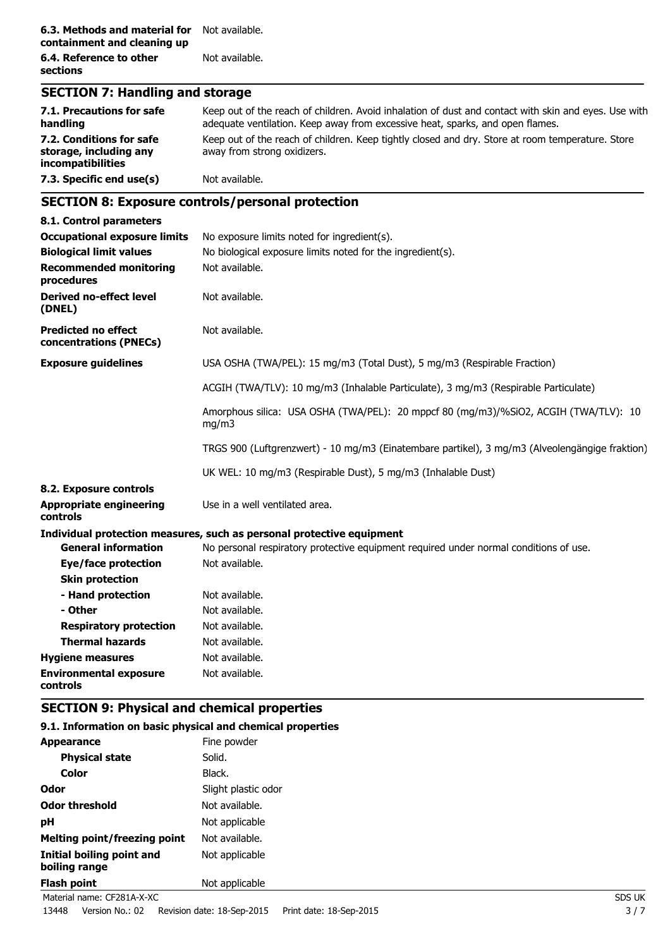### **SECTION 7: Handling and storage**

| 7.1. Precautions for safe<br>handling                                   | Keep out of the reach of children. Avoid inhalation of dust and contact with skin and eyes. Use with<br>adequate ventilation. Keep away from excessive heat, sparks, and open flames. |
|-------------------------------------------------------------------------|---------------------------------------------------------------------------------------------------------------------------------------------------------------------------------------|
| 7.2. Conditions for safe<br>storage, including any<br>incompatibilities | Keep out of the reach of children. Keep tightly closed and dry. Store at room temperature. Store<br>away from strong oxidizers.                                                       |
| 7.3. Specific end use(s)                                                | Not available.                                                                                                                                                                        |

# **SECTION 8: Exposure controls/personal protection**

| 8.1. Control parameters                              |                                                                                                |  |  |
|------------------------------------------------------|------------------------------------------------------------------------------------------------|--|--|
| <b>Occupational exposure limits</b>                  | No exposure limits noted for ingredient(s).                                                    |  |  |
| <b>Biological limit values</b>                       | No biological exposure limits noted for the ingredient(s).                                     |  |  |
| <b>Recommended monitoring</b><br>procedures          | Not available.                                                                                 |  |  |
| <b>Derived no-effect level</b><br>(DNEL)             | Not available.                                                                                 |  |  |
| <b>Predicted no effect</b><br>concentrations (PNECs) | Not available.                                                                                 |  |  |
| <b>Exposure guidelines</b>                           | USA OSHA (TWA/PEL): 15 mg/m3 (Total Dust), 5 mg/m3 (Respirable Fraction)                       |  |  |
|                                                      | ACGIH (TWA/TLV): 10 mg/m3 (Inhalable Particulate), 3 mg/m3 (Respirable Particulate)            |  |  |
|                                                      | Amorphous silica: USA OSHA (TWA/PEL): 20 mppcf 80 (mg/m3)/%SiO2, ACGIH (TWA/TLV): 10<br>mg/m3  |  |  |
|                                                      | TRGS 900 (Luftgrenzwert) - 10 mg/m3 (Einatembare partikel), 3 mg/m3 (Alveolengängige fraktion) |  |  |
|                                                      | UK WEL: 10 mg/m3 (Respirable Dust), 5 mg/m3 (Inhalable Dust)                                   |  |  |
| 8.2. Exposure controls                               |                                                                                                |  |  |
| <b>Appropriate engineering</b><br><b>controls</b>    | Use in a well ventilated area.                                                                 |  |  |
|                                                      | Individual protection measures, such as personal protective equipment                          |  |  |
| <b>General information</b>                           | No personal respiratory protective equipment required under normal conditions of use.          |  |  |
| Eye/face protection                                  | Not available.                                                                                 |  |  |
| <b>Skin protection</b>                               |                                                                                                |  |  |
| - Hand protection                                    | Not available.                                                                                 |  |  |
| - Other                                              | Not available.                                                                                 |  |  |
| <b>Respiratory protection</b>                        | Not available.                                                                                 |  |  |
| <b>Thermal hazards</b>                               | Not available.                                                                                 |  |  |
| <b>Hygiene measures</b>                              | Not available.                                                                                 |  |  |
| <b>Environmental exposure</b><br>controls            | Not available.                                                                                 |  |  |

# **SECTION 9: Physical and chemical properties**

### **9.1. Information on basic physical and chemical properties**

| <b>Appearance</b>                          | Fine powder         |               |
|--------------------------------------------|---------------------|---------------|
| <b>Physical state</b>                      | Solid.              |               |
| <b>Color</b>                               | Black.              |               |
| <b>Odor</b>                                | Slight plastic odor |               |
| <b>Odor threshold</b>                      | Not available.      |               |
| pH                                         | Not applicable      |               |
| <b>Melting point/freezing point</b>        | Not available.      |               |
| Initial boiling point and<br>boiling range | Not applicable      |               |
| Flash point                                | Not applicable      |               |
| Material name: CF281A-X-XC                 |                     | <b>SDS UK</b> |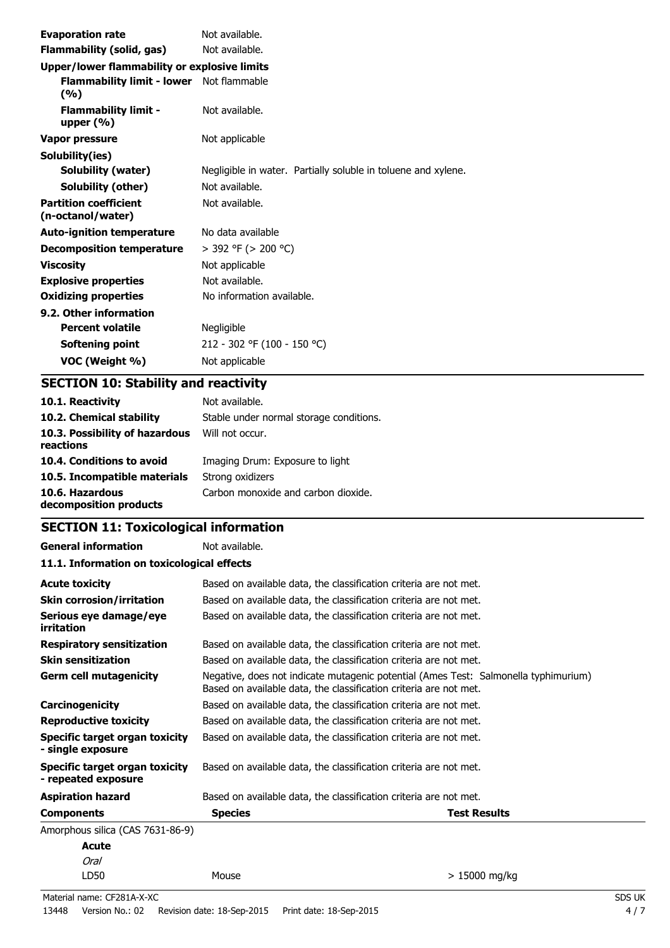| <b>Evaporation rate</b>                           | Not available.                                                |  |
|---------------------------------------------------|---------------------------------------------------------------|--|
| Flammability (solid, gas)                         | Not available.                                                |  |
| Upper/lower flammability or explosive limits      |                                                               |  |
| Flammability limit - lower Not flammable<br>(%)   |                                                               |  |
| <b>Flammability limit -</b><br>upper $(\% )$      | Not available.                                                |  |
| Vapor pressure                                    | Not applicable                                                |  |
| Solubility(ies)                                   |                                                               |  |
| Solubility (water)                                | Negligible in water. Partially soluble in toluene and xylene. |  |
| Solubility (other)                                | Not available.                                                |  |
| <b>Partition coefficient</b><br>(n-octanol/water) | Not available.                                                |  |
| <b>Auto-ignition temperature</b>                  | No data available                                             |  |
| <b>Decomposition temperature</b>                  | $>$ 392 °F ( $>$ 200 °C)                                      |  |
| <b>Viscosity</b>                                  | Not applicable                                                |  |
| <b>Explosive properties</b>                       | Not available.                                                |  |
| <b>Oxidizing properties</b>                       | No information available.                                     |  |
| 9.2. Other information                            |                                                               |  |
| <b>Percent volatile</b>                           | Negligible                                                    |  |
| Softening point                                   | 212 - 302 °F (100 - 150 °C)                                   |  |
| VOC (Weight %)                                    | Not applicable                                                |  |

# **SECTION 10: Stability and reactivity**

| 10.1. Reactivity                            | Not available.                          |
|---------------------------------------------|-----------------------------------------|
| 10.2. Chemical stability                    | Stable under normal storage conditions. |
| 10.3. Possibility of hazardous<br>reactions | Will not occur.                         |
| 10.4. Conditions to avoid                   | Imaging Drum: Exposure to light         |
| 10.5. Incompatible materials                | Strong oxidizers                        |
| 10.6. Hazardous<br>decomposition products   | Carbon monoxide and carbon dioxide.     |

# **SECTION 11: Toxicological information**

| <b>General information</b>                            | Not available.                                                    |                                                                                                                                                          |  |  |
|-------------------------------------------------------|-------------------------------------------------------------------|----------------------------------------------------------------------------------------------------------------------------------------------------------|--|--|
|                                                       | 11.1. Information on toxicological effects                        |                                                                                                                                                          |  |  |
| <b>Acute toxicity</b>                                 |                                                                   | Based on available data, the classification criteria are not met.                                                                                        |  |  |
| <b>Skin corrosion/irritation</b>                      |                                                                   | Based on available data, the classification criteria are not met.                                                                                        |  |  |
| Serious eye damage/eye<br>irritation                  |                                                                   | Based on available data, the classification criteria are not met.                                                                                        |  |  |
| <b>Respiratory sensitization</b>                      |                                                                   | Based on available data, the classification criteria are not met.                                                                                        |  |  |
| <b>Skin sensitization</b>                             |                                                                   | Based on available data, the classification criteria are not met.                                                                                        |  |  |
| <b>Germ cell mutagenicity</b>                         |                                                                   | Negative, does not indicate mutagenic potential (Ames Test: Salmonella typhimurium)<br>Based on available data, the classification criteria are not met. |  |  |
| Carcinogenicity                                       |                                                                   | Based on available data, the classification criteria are not met.                                                                                        |  |  |
| <b>Reproductive toxicity</b>                          | Based on available data, the classification criteria are not met. |                                                                                                                                                          |  |  |
| Specific target organ toxicity<br>- single exposure   |                                                                   | Based on available data, the classification criteria are not met.                                                                                        |  |  |
| Specific target organ toxicity<br>- repeated exposure |                                                                   | Based on available data, the classification criteria are not met.                                                                                        |  |  |
| <b>Aspiration hazard</b>                              |                                                                   | Based on available data, the classification criteria are not met.                                                                                        |  |  |
| <b>Components</b>                                     | <b>Species</b>                                                    | <b>Test Results</b>                                                                                                                                      |  |  |
| Amorphous silica (CAS 7631-86-9)                      |                                                                   |                                                                                                                                                          |  |  |
| Acute                                                 |                                                                   |                                                                                                                                                          |  |  |
| Oral                                                  |                                                                   |                                                                                                                                                          |  |  |
| LD50                                                  | Mouse                                                             | $> 15000$ mg/kg                                                                                                                                          |  |  |

Material name: CF281A-X-XC SDS UK 13448 Version No.: 02 Revision date: 18-Sep-2015 Print date: 18-Sep-2015 4 / 7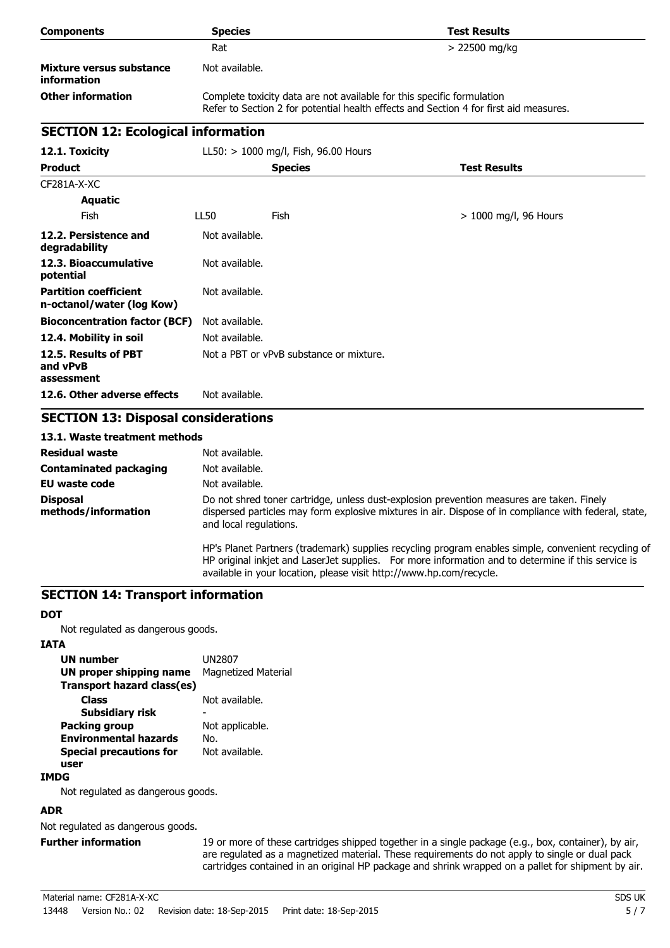| <b>Components</b>                              | <b>Species</b> | <b>Test Results</b>                                                                                                                                             |
|------------------------------------------------|----------------|-----------------------------------------------------------------------------------------------------------------------------------------------------------------|
|                                                | Rat            | $> 22500$ mg/kg                                                                                                                                                 |
| Mixture versus substance<br><b>information</b> | Not available. |                                                                                                                                                                 |
| <b>Other information</b>                       |                | Complete toxicity data are not available for this specific formulation<br>Refer to Section 2 for potential health effects and Section 4 for first aid measures. |

# **SECTION 12: Ecological information**

| 12.1. Toxicity                                            |                | $LL50:$ > 1000 mg/l, Fish, 96.00 Hours  |                         |
|-----------------------------------------------------------|----------------|-----------------------------------------|-------------------------|
| <b>Product</b>                                            |                | <b>Species</b>                          | <b>Test Results</b>     |
| CF281A-X-XC                                               |                |                                         |                         |
| <b>Aquatic</b>                                            |                |                                         |                         |
| Fish                                                      | LL50           | <b>Fish</b>                             | $> 1000$ mg/l, 96 Hours |
| 12.2. Persistence and<br>degradability                    | Not available. |                                         |                         |
| 12.3. Bioaccumulative<br>potential                        | Not available. |                                         |                         |
| <b>Partition coefficient</b><br>n-octanol/water (log Kow) | Not available. |                                         |                         |
| <b>Bioconcentration factor (BCF)</b>                      | Not available. |                                         |                         |
| 12.4. Mobility in soil                                    | Not available. |                                         |                         |
| 12.5. Results of PBT<br>and vPvB<br>assessment            |                | Not a PBT or vPvB substance or mixture. |                         |
| 12.6. Other adverse effects                               | Not available. |                                         |                         |

# **SECTION 13: Disposal considerations**

### **13.1. Waste treatment methods**

| <b>Residual waste</b>                  | Not available.                                                                                                                                                                                                               |
|----------------------------------------|------------------------------------------------------------------------------------------------------------------------------------------------------------------------------------------------------------------------------|
| <b>Contaminated packaging</b>          | Not available.                                                                                                                                                                                                               |
| <b>EU waste code</b>                   | Not available.                                                                                                                                                                                                               |
| <b>Disposal</b><br>methods/information | Do not shred toner cartridge, unless dust-explosion prevention measures are taken. Finely<br>dispersed particles may form explosive mixtures in air. Dispose of in compliance with federal, state,<br>and local regulations. |
|                                        | HP's Planet Partners (trademark) supplies recycling program enables simple, convenient recycling of<br>HP original inkjet and LaserJet supplies. For more information and to determine if this service is                    |

available in your location, please visit http://www.hp.com/recycle.

### **SECTION 14: Transport information**

#### **DOT**

Not regulated as dangerous goods.

#### **IATA**

| UN number                         | UN2807                     |
|-----------------------------------|----------------------------|
| UN proper shipping name           | <b>Magnetized Material</b> |
| <b>Transport hazard class(es)</b> |                            |
| Class                             | Not available.             |
| Subsidiary risk                   |                            |
| <b>Packing group</b>              | Not applicable.            |
| <b>Environmental hazards</b>      | No.                        |
| <b>Special precautions for</b>    | Not available.             |
| user                              |                            |
|                                   |                            |

### **IMDG**

Not regulated as dangerous goods.

### **ADR**

Not regulated as dangerous goods.

Further information 19 or more of these cartridges shipped together in a single package (e.g., box, container), by air, are regulated as a magnetized material. These requirements do not apply to single or dual pack cartridges contained in an original HP package and shrink wrapped on a pallet for shipment by air.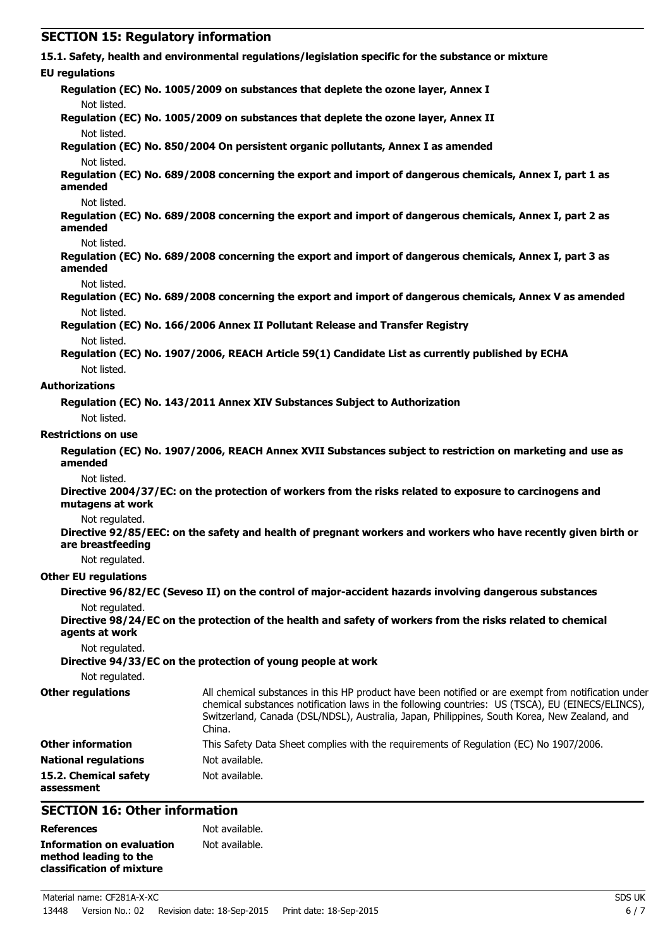| <b>SECTION 15: Regulatory information</b> |                                                                                                                                                                                                                                                                                                                   |
|-------------------------------------------|-------------------------------------------------------------------------------------------------------------------------------------------------------------------------------------------------------------------------------------------------------------------------------------------------------------------|
|                                           | 15.1. Safety, health and environmental regulations/legislation specific for the substance or mixture                                                                                                                                                                                                              |
| <b>EU</b> regulations                     |                                                                                                                                                                                                                                                                                                                   |
|                                           | Regulation (EC) No. 1005/2009 on substances that deplete the ozone layer, Annex I                                                                                                                                                                                                                                 |
| Not listed.                               |                                                                                                                                                                                                                                                                                                                   |
|                                           | Regulation (EC) No. 1005/2009 on substances that deplete the ozone layer, Annex II                                                                                                                                                                                                                                |
| Not listed.                               |                                                                                                                                                                                                                                                                                                                   |
| Not listed.                               | Regulation (EC) No. 850/2004 On persistent organic pollutants, Annex I as amended                                                                                                                                                                                                                                 |
| amended                                   | Regulation (EC) No. 689/2008 concerning the export and import of dangerous chemicals, Annex I, part 1 as                                                                                                                                                                                                          |
| Not listed.<br>amended                    | Regulation (EC) No. 689/2008 concerning the export and import of dangerous chemicals, Annex I, part 2 as                                                                                                                                                                                                          |
| Not listed.                               |                                                                                                                                                                                                                                                                                                                   |
| amended                                   | Regulation (EC) No. 689/2008 concerning the export and import of dangerous chemicals, Annex I, part 3 as                                                                                                                                                                                                          |
| Not listed.                               | Regulation (EC) No. 689/2008 concerning the export and import of dangerous chemicals, Annex V as amended                                                                                                                                                                                                          |
| Not listed.                               |                                                                                                                                                                                                                                                                                                                   |
|                                           | Regulation (EC) No. 166/2006 Annex II Pollutant Release and Transfer Registry                                                                                                                                                                                                                                     |
| Not listed.                               | Regulation (EC) No. 1907/2006, REACH Article 59(1) Candidate List as currently published by ECHA                                                                                                                                                                                                                  |
| Not listed.                               |                                                                                                                                                                                                                                                                                                                   |
| <b>Authorizations</b>                     |                                                                                                                                                                                                                                                                                                                   |
|                                           | Regulation (EC) No. 143/2011 Annex XIV Substances Subject to Authorization                                                                                                                                                                                                                                        |
| Not listed.                               |                                                                                                                                                                                                                                                                                                                   |
| <b>Restrictions on use</b>                |                                                                                                                                                                                                                                                                                                                   |
| amended                                   | Regulation (EC) No. 1907/2006, REACH Annex XVII Substances subject to restriction on marketing and use as                                                                                                                                                                                                         |
| Not listed.<br>mutagens at work           | Directive 2004/37/EC: on the protection of workers from the risks related to exposure to carcinogens and                                                                                                                                                                                                          |
| Not regulated.                            |                                                                                                                                                                                                                                                                                                                   |
| are breastfeeding                         | Directive 92/85/EEC: on the safety and health of pregnant workers and workers who have recently given birth or                                                                                                                                                                                                    |
| Not regulated.                            |                                                                                                                                                                                                                                                                                                                   |
| <b>Other EU regulations</b>               |                                                                                                                                                                                                                                                                                                                   |
|                                           | Directive 96/82/EC (Seveso II) on the control of major-accident hazards involving dangerous substances                                                                                                                                                                                                            |
| Not regulated.<br>agents at work          | Directive 98/24/EC on the protection of the health and safety of workers from the risks related to chemical                                                                                                                                                                                                       |
| Not regulated.                            | Directive 94/33/EC on the protection of young people at work                                                                                                                                                                                                                                                      |
| Not regulated.                            |                                                                                                                                                                                                                                                                                                                   |
| <b>Other regulations</b>                  | All chemical substances in this HP product have been notified or are exempt from notification under<br>chemical substances notification laws in the following countries: US (TSCA), EU (EINECS/ELINCS),<br>Switzerland, Canada (DSL/NDSL), Australia, Japan, Philippines, South Korea, New Zealand, and<br>China. |
| <b>Other information</b>                  | This Safety Data Sheet complies with the requirements of Regulation (EC) No 1907/2006.                                                                                                                                                                                                                            |
| <b>National regulations</b>               | Not available.                                                                                                                                                                                                                                                                                                    |
| 15.2. Chemical safety<br>assessment       | Not available.                                                                                                                                                                                                                                                                                                    |
| <b>SECTION 16: Other information</b>      |                                                                                                                                                                                                                                                                                                                   |

# **SECTION 16: Other information**

| <b>References</b>         | Not available. |
|---------------------------|----------------|
| Information on evaluation | Not available. |
| method leading to the     |                |
| classification of mixture |                |